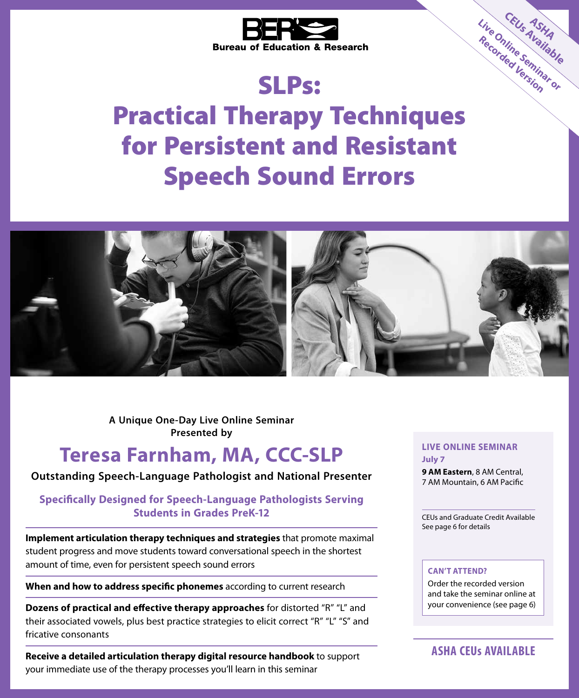

# SLPs:

Practical Therapy Techniques for Persistent and Resistant Speech Sound Errors



**A Unique One-Day Live Online Seminar Presented by**

# **Teresa Farnham, MA, CCC-SLP**

#### **Outstanding Speech-Language Pathologist and National Presenter**

### **Specifically Designed for Speech-Language Pathologists Serving Students in Grades PreK-12**

**Implement articulation therapy techniques and strategies** that promote maximal student progress and move students toward conversational speech in the shortest amount of time, even for persistent speech sound errors

**When and how to address specific phonemes** according to current research

**Dozens of practical and effective therapy approaches** for distorted "R" "L" and their associated vowels, plus best practice strategies to elicit correct "R" "L" "S" and fricative consonants

**Receive a detailed articulation therapy digital resource handbook** to support your immediate use of the therapy processes you'll learn in this seminar

#### **LIVE ONLINE SEMINAR July 7**

**CEU<sub>S</sub> A<sub>SHA</sub><br>Vine Ser<sup>Alable</sup>** 

**Live Online Seminar or Recorded Version**

**9 AM Eastern**, 8 AM Central, 7 AM Mountain, 6 AM Pacific

CEUs and Graduate Credit Available See page 6 for details

#### **CAN'T ATTEND?**

Order the recorded version and take the seminar online at your convenience (see page 6)

### **ASHA CEUs AVAILABLE**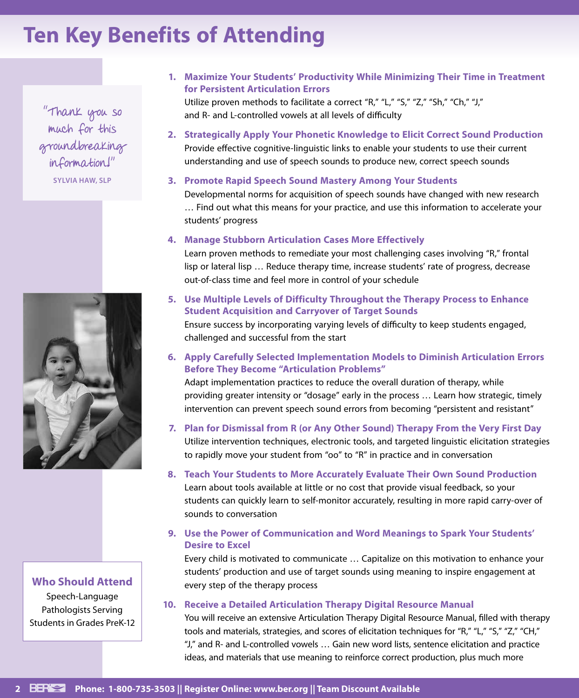# **Ten Key Benefits of Attending**

"Thank you so much for this groundbreaking information!"

**SYLVIA HAW, SLP**



**Who Should Attend**

Speech-Language Pathologists Serving Students in Grades PreK-12 **1. Maximize Your Students' Productivity While Minimizing Their Time in Treatment for Persistent Articulation Errors**

Utilize proven methods to facilitate a correct "R," "L," "S," "Z," "Sh," "Ch," "J," and R- and L-controlled vowels at all levels of difficulty

- **2. Strategically Apply Your Phonetic Knowledge to Elicit Correct Sound Production** Provide effective cognitive-linguistic links to enable your students to use their current understanding and use of speech sounds to produce new, correct speech sounds
- **3. Promote Rapid Speech Sound Mastery Among Your Students**

Developmental norms for acquisition of speech sounds have changed with new research … Find out what this means for your practice, and use this information to accelerate your students' progress

**4. Manage Stubborn Articulation Cases More Effectively**

challenged and successful from the start

Learn proven methods to remediate your most challenging cases involving "R," frontal lisp or lateral lisp … Reduce therapy time, increase students' rate of progress, decrease out-of-class time and feel more in control of your schedule

- **5. Use Multiple Levels of Difficulty Throughout the Therapy Process to Enhance Student Acquisition and Carryover of Target Sounds** Ensure success by incorporating varying levels of difficulty to keep students engaged,
- **6. Apply Carefully Selected Implementation Models to Diminish Articulation Errors Before They Become "Articulation Problems"**

Adapt implementation practices to reduce the overall duration of therapy, while providing greater intensity or "dosage" early in the process … Learn how strategic, timely intervention can prevent speech sound errors from becoming "persistent and resistant"

- **7. Plan for Dismissal from R (or Any Other Sound) Therapy From the Very First Day** Utilize intervention techniques, electronic tools, and targeted linguistic elicitation strategies to rapidly move your student from "oo" to "R" in practice and in conversation
- **8. Teach Your Students to More Accurately Evaluate Their Own Sound Production** Learn about tools available at little or no cost that provide visual feedback, so your students can quickly learn to self-monitor accurately, resulting in more rapid carry-over of sounds to conversation
- **9. Use the Power of Communication and Word Meanings to Spark Your Students' Desire to Excel**

Every child is motivated to communicate … Capitalize on this motivation to enhance your students' production and use of target sounds using meaning to inspire engagement at every step of the therapy process

#### **10. Receive a Detailed Articulation Therapy Digital Resource Manual**

You will receive an extensive Articulation Therapy Digital Resource Manual, filled with therapy tools and materials, strategies, and scores of elicitation techniques for "R," "L," "S," "Z," "CH," "J," and R- and L-controlled vowels … Gain new word lists, sentence elicitation and practice ideas, and materials that use meaning to reinforce correct production, plus much more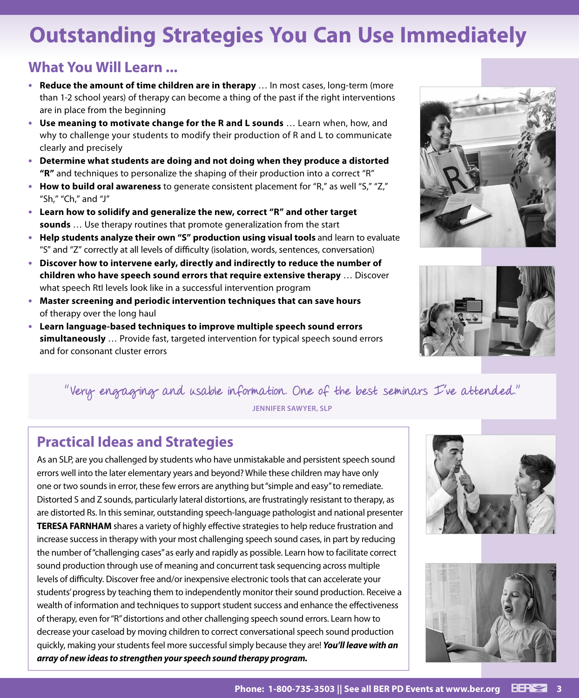# **Outstanding Strategies You Can Use Immediately**

## **What You Will Learn ...**

- **• Reduce the amount of time children are in therapy** … In most cases, long-term (more than 1-2 school years) of therapy can become a thing of the past if the right interventions are in place from the beginning
- **• Use meaning to motivate change for the R and L sounds** … Learn when, how, and why to challenge your students to modify their production of R and L to communicate clearly and precisely
- **• Determine what students are doing and not doing when they produce a distorted "R"** and techniques to personalize the shaping of their production into a correct "R"
- **• How to build oral awareness** to generate consistent placement for "R," as well "S," "Z," "Sh," "Ch," and "J"
- **• Learn how to solidify and generalize the new, correct "R" and other target sounds** … Use therapy routines that promote generalization from the start
- **• Help students analyze their own "S" production using visual tools** and learn to evaluate "S" and "Z" correctly at all levels of difficulty (isolation, words, sentences, conversation)
- **• Discover how to intervene early, directly and indirectly to reduce the number of children who have speech sound errors that require extensive therapy** … Discover what speech RtI levels look like in a successful intervention program
- **• Master screening and periodic intervention techniques that can save hours**  of therapy over the long haul
- **• Learn language-based techniques to improve multiple speech sound errors simultaneously** … Provide fast, targeted intervention for typical speech sound errors and for consonant cluster errors





# "Very engaging and usable information. One of the best seminars I've attended."

**JENNIFER SAWYER, SLP**

## **Practical Ideas and Strategies**

As an SLP, are you challenged by students who have unmistakable and persistent speech sound errors well into the later elementary years and beyond? While these children may have only one or two sounds in error, these few errors are anything but "simple and easy" to remediate. Distorted S and Z sounds, particularly lateral distortions, are frustratingly resistant to therapy, as are distorted Rs. In this seminar, outstanding speech-language pathologist and national presenter **TERESA FARNHAM** shares a variety of highly effective strategies to help reduce frustration and increase success in therapy with your most challenging speech sound cases, in part by reducing the number of "challenging cases" as early and rapidly as possible. Learn how to facilitate correct sound production through use of meaning and concurrent task sequencing across multiple levels of difficulty. Discover free and/or inexpensive electronic tools that can accelerate your students' progress by teaching them to independently monitor their sound production. Receive a wealth of information and techniques to support student success and enhance the effectiveness of therapy, even for "R" distortions and other challenging speech sound errors. Learn how to decrease your caseload by moving children to correct conversational speech sound production quickly, making your students feel more successful simply because they are! *You'll leave with an array of new ideas to strengthen your speech sound therapy program.*



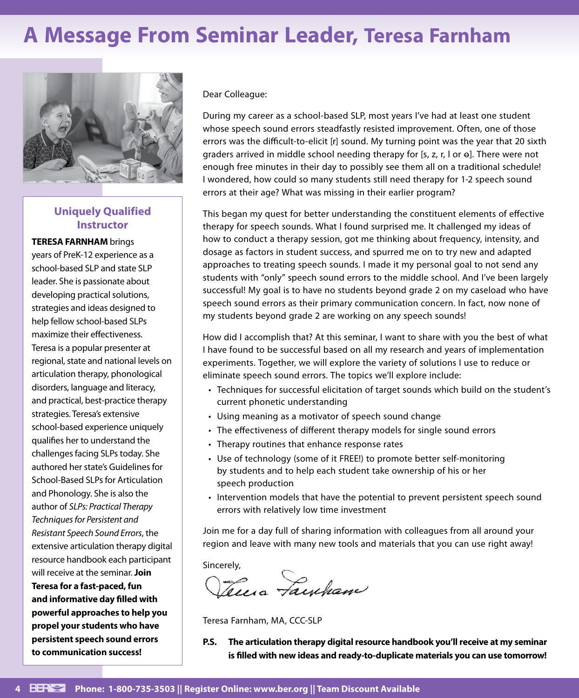# **A Message From Seminar Leader, Teresa Farnham**



### **Uniquely Qualified Instructor**

**TERESA FARNHAM** brings years of PreK-12 experience as a school-based SLP and state SLP leader. She is passionate about developing practical solutions, strategies and ideas designed to help fellow school-based SLPs maximize their effectiveness. Teresa is a popular presenter at regional, state and national levels on articulation therapy, phonological disorders, language and literacy, and practical, best-practice therapy strategies. Teresa's extensive school-based experience uniquely qualifies her to understand the challenges facing SLPs today. She authored her state's Guidelines for School-Based SLPs for Articulation and Phonology. She is also the author of *SLPs: Practical Therapy Techniques for Persistent and Resistant Speech Sound Errors*, the extensive articulation therapy digital resource handbook each participant will receive at the seminar. **Join Teresa for a fast-paced, fun and informative day filled with powerful approaches to help you propel your students who have persistent speech sound errors to communication success!**

Dear Colleague:

During my career as a school-based SLP, most years I've had at least one student whose speech sound errors steadfastly resisted improvement. Often, one of those errors was the difficult-to-elicit [r] sound. My turning point was the year that 20 sixth graders arrived in middle school needing therapy for  $[s, z, r, l$  or  $\Theta$ ]. There were not enough free minutes in their day to possibly see them all on a traditional schedule! I wondered, how could so many students still need therapy for 1-2 speech sound errors at their age? What was missing in their earlier program?

This began my quest for better understanding the constituent elements of effective therapy for speech sounds. What I found surprised me. It challenged my ideas of how to conduct a therapy session, got me thinking about frequency, intensity, and dosage as factors in student success, and spurred me on to try new and adapted approaches to treating speech sounds. I made it my personal goal to not send any students with "only" speech sound errors to the middle school. And I've been largely successful! My goal is to have no students beyond grade 2 on my caseload who have speech sound errors as their primary communication concern. In fact, now none of my students beyond grade 2 are working on any speech sounds!

How did I accomplish that? At this seminar, I want to share with you the best of what I have found to be successful based on all my research and years of implementation experiments. Together, we will explore the variety of solutions I use to reduce or eliminate speech sound errors. The topics we'll explore include:

- Techniques for successful elicitation of target sounds which build on the student's current phonetic understanding
- Using meaning as a motivator of speech sound change
- The effectiveness of different therapy models for single sound errors
- Therapy routines that enhance response rates
- Use of technology (some of it FREE!) to promote better self-monitoring by students and to help each student take ownership of his or her speech production
- Intervention models that have the potential to prevent persistent speech sound errors with relatively low time investment

Join me for a day full of sharing information with colleagues from all around your region and leave with many new tools and materials that you can use right away!

Sincerely,<br>*Sees a Facycham* 

Teresa Farnham, MA, CCC-SLP

**P.S. The articulation therapy digital resource handbook you'll receive at my seminar is filled with new ideas and ready-to-duplicate materials you can use tomorrow!**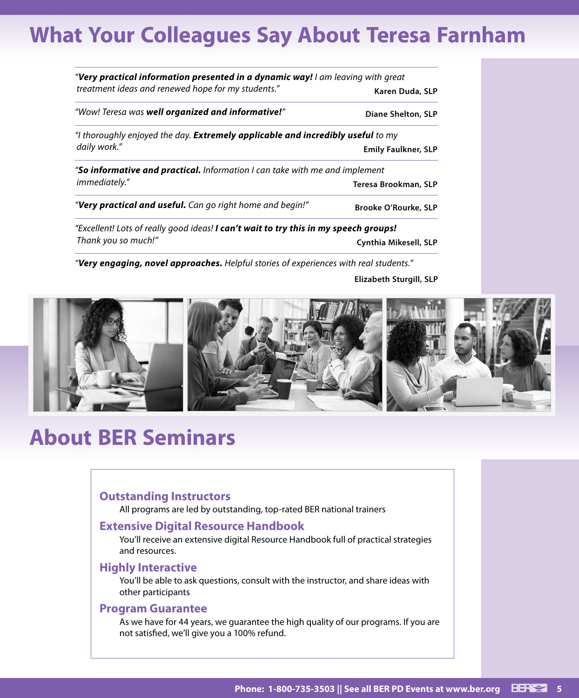# **What Your Colleagues Say About Teresa Farnham**

| "Very practical information presented in a dynamic way! I am leaving with great        |                             |  |
|----------------------------------------------------------------------------------------|-----------------------------|--|
| treatment ideas and renewed hope for my students."                                     | Karen Duda, SLP             |  |
| "Wow! Teresa was well organized and informative!"                                      | Diane Shelton, SLP          |  |
| "I thoroughly enjoyed the day. <b>Extremely applicable and incredibly useful</b> to my |                             |  |
| daily work."                                                                           | <b>Emily Faulkner, SLP</b>  |  |
| " <b>So informative and practical.</b> Information I can take with me and implement    |                             |  |
| immediately."                                                                          | Teresa Brookman, SLP        |  |
| "Very practical and useful. Can go right home and begin!"                              | <b>Brooke O'Rourke, SLP</b> |  |
| "Excellent! Lots of really good ideas! I can't wait to try this in my speech groups!   |                             |  |
| Thank you so much!"                                                                    | Cynthia Mikesell, SLP       |  |

*"Very engaging, novel approaches. Helpful stories of experiences with real students."*

**Elizabeth Sturgill, SLP**



# **About BER Seminars**

#### **Outstanding Instructors**

All programs are led by outstanding, top-rated BER national trainers

#### **Extensive Digital Resource Handbook**

You'll receive an extensive digital Resource Handbook full of practical strategies and resources.

#### **Highly Interactive**

You'll be able to ask questions, consult with the instructor, and share ideas with other participants

#### **Program Guarantee**

As we have for 44 years, we guarantee the high quality of our programs. If you are not satisfied, we'll give you a 100% refund.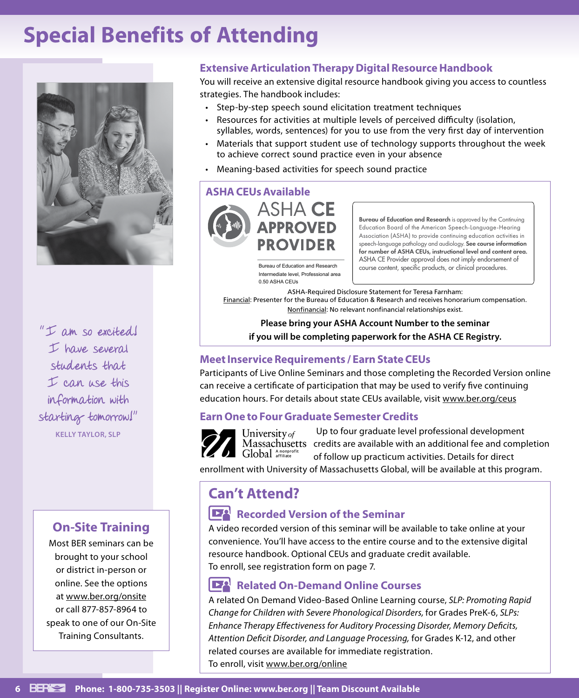# **Special Benefits of Attending**



I have several students that I can use this information with starting tomorrow!" **KELLY TAYLOR, SLP**

## **On-Site Training**

Most BER seminars can be brought to your school or district in-person or online. See the options at www.ber.org/onsite or call 877-857-8964 to speak to one of our On-Site Training Consultants.

### **Extensive Articulation Therapy Digital Resource Handbook**

You will receive an extensive digital resource handbook giving you access to countless strategies. The handbook includes:

- Step-by-step speech sound elicitation treatment techniques
- Resources for activities at multiple levels of perceived difficulty (isolation, syllables, words, sentences) for you to use from the very first day of intervention
- Materials that support student use of technology supports throughout the week to achieve correct sound practice even in your absence
- Meaning-based activities for speech sound practice

#### **ASHA CEUs Available**



Intermediate level, Professional area 0.50 ASHA CEUs

Bureau of Education and Research is approved by the Continuing Education Board of the American Speech-Language-Hearing Association (ASHA) to provide continuing education activities in speech-language pathology and audiology. See course information for number of ASHA CEUs, instructional level and content area. ASHA CE Provider approval does not imply endorsement of Bureau of Education and Research course content, specific products, or clinical procedures.

ASHA-Required Disclosure Statement for Teresa Farnham:

Financial: Presenter for the Bureau of Education & Research and receives honorarium compensation. Nonfinancial: No relevant nonfinancial relationships exist.

**Please bring your ASHA Account Number to the seminar** I am so excited!<br>if you will be completing paperwork for the ASHA CE Registry.

### **Meet Inservice Requirements / Earn State CEUs**

Participants of Live Online Seminars and those completing the Recorded Version online can receive a certificate of participation that may be used to verify five continuing education hours. For details about state CEUs available, visit www.ber.org/ceus

### **Earn One to Four Graduate Semester Credits**



Up to four graduate level professional development University of Massachusetts credits are available with an additional fee and completion Global Anonprofi of follow up practicum activities. Details for direct

enrollment with University of Massachusetts Global, will be available at this program.

## **Can't Attend?**

### **Recorded Version of the Seminar**

A video recorded version of this seminar will be available to take online at your convenience. You'll have access to the entire course and to the extensive digital resource handbook. Optional CEUs and graduate credit available. To enroll, see registration form on page 7.

### **Related On-Demand Online Courses**

A related On Demand Video-Based Online Learning course, *SLP: Promoting Rapid Change for Children with Severe Phonological Disorders,* for Grades PreK-6, *SLPs: Enhance Therapy Effectiveness for Auditory Processing Disorder, Memory Deficits, Attention Deficit Disorder, and Language Processing,* for Grades K-12, and other related courses are available for immediate registration. To enroll, visit www.ber.org/online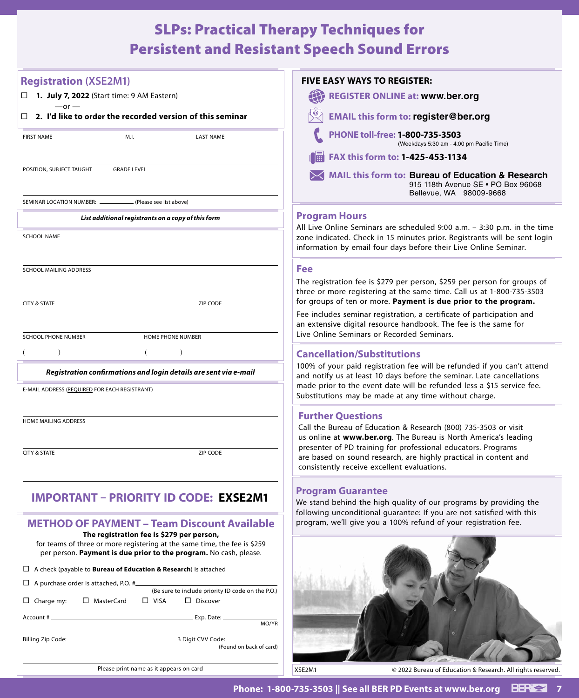# SLPs: Practical Therapy Techniques for Persistent and Resistant Speech Sound Errors

| <b>Registration (XSE2M1)</b>                                                                                           | <b>FIVE EASY WAYS TO REGISTER:</b>                                                                                                                                                                          |
|------------------------------------------------------------------------------------------------------------------------|-------------------------------------------------------------------------------------------------------------------------------------------------------------------------------------------------------------|
| $\Box$ 1. July 7, 2022 (Start time: 9 AM Eastern)<br>$-or -$                                                           | <b>REGISTER ONLINE at: www.ber.org</b>                                                                                                                                                                      |
| 2. I'd like to order the recorded version of this seminar                                                              | <b>EMAIL this form to: register@ber.org</b>                                                                                                                                                                 |
| <b>FIRST NAME</b><br><b>LAST NAME</b><br>M.I.                                                                          | PHONE toll-free: 1-800-735-3503<br>(Weekdays 5:30 am - 4:00 pm Pacific Time)                                                                                                                                |
|                                                                                                                        | FAX this form to: 1-425-453-1134                                                                                                                                                                            |
| POSITION, SUBJECT TAUGHT<br><b>GRADE LEVEL</b>                                                                         | MAIL this form to: Bureau of Education & Research<br>915 118th Avenue SE . PO Box 96068<br>Bellevue, WA 98009-9668                                                                                          |
| SEMINAR LOCATION NUMBER: _______<br>(Please see list above)                                                            |                                                                                                                                                                                                             |
| List additional registrants on a copy of this form                                                                     | <b>Program Hours</b><br>All Live Online Seminars are scheduled 9:00 a.m. - 3:30 p.m. in the time                                                                                                            |
| <b>SCHOOL NAME</b>                                                                                                     | zone indicated. Check in 15 minutes prior. Registrants will be sent login<br>information by email four days before their Live Online Seminar.                                                               |
| SCHOOL MAILING ADDRESS                                                                                                 | <b>Fee</b>                                                                                                                                                                                                  |
|                                                                                                                        | The registration fee is \$279 per person, \$259 per person for groups of<br>three or more registering at the same time. Call us at 1-800-735-3503                                                           |
| <b>CITY &amp; STATE</b><br>ZIP CODE                                                                                    | for groups of ten or more. Payment is due prior to the program.<br>Fee includes seminar registration, a certificate of participation and<br>an extensive digital resource handbook. The fee is the same for |
| <b>SCHOOL PHONE NUMBER</b><br>HOME PHONE NUMBER                                                                        | Live Online Seminars or Recorded Seminars.                                                                                                                                                                  |
| $\lambda$<br>€<br>$\lambda$                                                                                            | <b>Cancellation/Substitutions</b>                                                                                                                                                                           |
| Registration confirmations and login details are sent via e-mail                                                       | 100% of your paid registration fee will be refunded if you can't attend<br>and notify us at least 10 days before the seminar. Late cancellations                                                            |
| E-MAIL ADDRESS (REQUIRED FOR EACH REGISTRANT)                                                                          | made prior to the event date will be refunded less a \$15 service fee.<br>Substitutions may be made at any time without charge.                                                                             |
|                                                                                                                        | <b>Further Questions</b>                                                                                                                                                                                    |
| HOME MAILING ADDRESS                                                                                                   | Call the Bureau of Education & Research (800) 735-3503 or visit<br>us online at www.ber.org. The Bureau is North America's leading                                                                          |
| <b>CITY &amp; STATE</b><br>ZIP CODE                                                                                    | presenter of PD training for professional educators. Programs<br>are based on sound research, are highly practical in content and<br>consistently receive excellent evaluations.                            |
| <b>IMPORTANT - PRIORITY ID CODE: EXSE2M1</b>                                                                           | <b>Program Guarantee</b>                                                                                                                                                                                    |
|                                                                                                                        | We stand behind the high quality of our programs by providing the<br>following unconditional guarantee: If you are not satisfied with this                                                                  |
| <b>METHOD OF PAYMENT - Team Discount Available</b>                                                                     | program, we'll give you a 100% refund of your registration fee.                                                                                                                                             |
| The registration fee is \$279 per person,<br>for teams of three or more registering at the same time, the fee is \$259 |                                                                                                                                                                                                             |
| per person. Payment is due prior to the program. No cash, please.                                                      |                                                                                                                                                                                                             |
| $\Box$ A check (payable to <b>Bureau of Education &amp; Research</b> ) is attached                                     |                                                                                                                                                                                                             |
| $\Box$ A purchase order is attached, P.O. # $\Box$<br>(Be sure to include priority ID code on the P.O.)                |                                                                                                                                                                                                             |
| $\Box$ Charge my:<br>□ MasterCard<br>$\Box$ VISA<br>$\Box$ Discover                                                    |                                                                                                                                                                                                             |
| MO/YR                                                                                                                  |                                                                                                                                                                                                             |
| (Found on back of card)                                                                                                |                                                                                                                                                                                                             |
|                                                                                                                        |                                                                                                                                                                                                             |
| Please print name as it appears on card                                                                                | © 2022 Bureau of Education & Research. All rights reserved.<br>XSE2M1                                                                                                                                       |